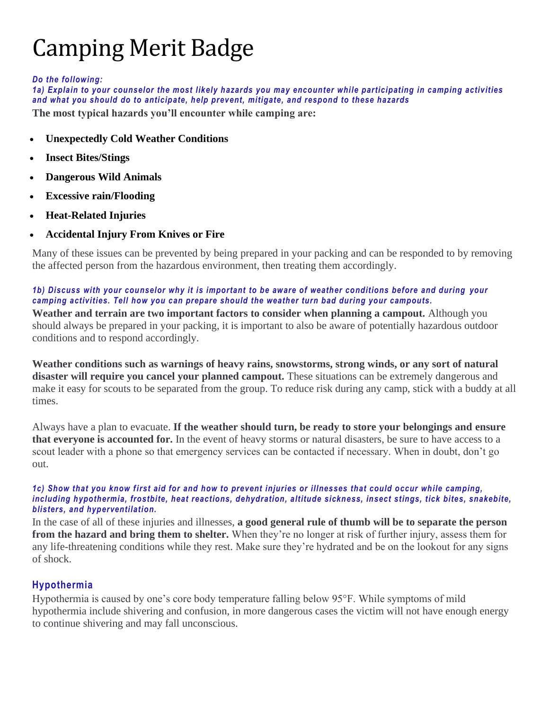# Camping Merit Badge

#### *Do the following:*

*1a) Explain to your counselor the most likely hazards you may encounter while participating in camping activities and what you should do to anticipate, help prevent, mitigate, and respond to these hazards*

**The most typical hazards you'll encounter while camping are:**

- **Unexpectedly Cold Weather Conditions**
- **Insect Bites/Stings**
- **Dangerous Wild Animals**
- **Excessive rain/Flooding**
- **Heat-Related Injuries**
- **Accidental Injury From Knives or Fire**

Many of these issues can be prevented by being prepared in your packing and can be responded to by removing the affected person from the hazardous environment, then treating them accordingly.

*1b) Discuss with your counselor why it is important to be aware of weather conditions before and during your camping activities. Tell how you can prepare should the weather turn bad during your campouts.*

**Weather and terrain are two important factors to consider when planning a campout.** Although you should always be prepared in your packing, it is important to also be aware of potentially hazardous outdoor conditions and to respond accordingly.

**Weather conditions such as warnings of heavy rains, snowstorms, strong winds, or any sort of natural disaster will require you cancel your planned campout.** These situations can be extremely dangerous and make it easy for scouts to be separated from the group. To reduce risk during any camp, stick with a buddy at all times.

Always have a plan to evacuate. **If the weather should turn, be ready to store your belongings and ensure that everyone is accounted for.** In the event of heavy storms or natural disasters, be sure to have access to a scout leader with a phone so that emergency services can be contacted if necessary. When in doubt, don't go out.

#### *1c) Show that you know first aid for and how to prevent injuries or illnesses that could occur while camping, including hypothermia, frostbite, heat reactions, dehydration, altitude sickness, insect stings, tick bites, snakebite, blisters, and hyperventilation.*

In the case of all of these injuries and illnesses, **a good general rule of thumb will be to separate the person from the hazard and bring them to shelter.** When they're no longer at risk of further injury, assess them for any life-threatening conditions while they rest. Make sure they're hydrated and be on the lookout for any signs of shock.

# **Hypothermia**

Hypothermia is caused by one's core body temperature falling below 95°F. While symptoms of mild hypothermia include shivering and confusion, in more dangerous cases the victim will not have enough energy to continue shivering and may fall unconscious.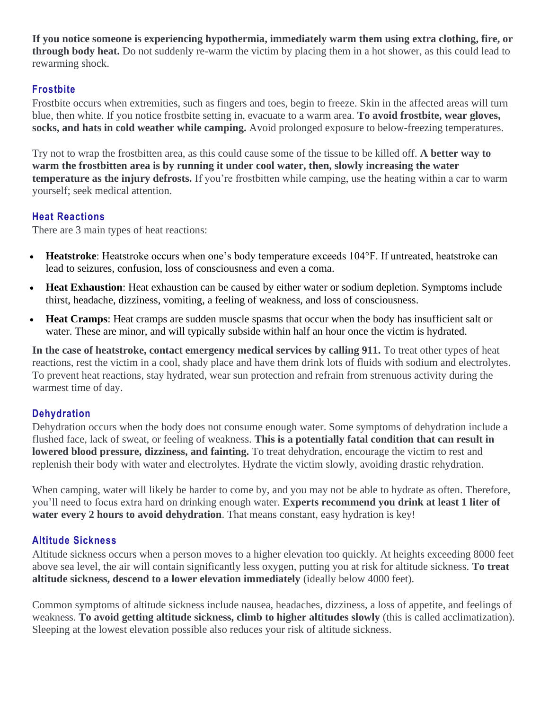**If you notice someone is experiencing hypothermia, immediately warm them using extra clothing, fire, or through body heat.** Do not suddenly re-warm the victim by placing them in a hot shower, as this could lead to rewarming shock.

# **Frostbite**

Frostbite occurs when extremities, such as fingers and toes, begin to freeze. Skin in the affected areas will turn blue, then white. If you notice frostbite setting in, evacuate to a warm area. **To avoid frostbite, wear gloves, socks, and hats in cold weather while camping.** Avoid prolonged exposure to below-freezing temperatures.

Try not to wrap the frostbitten area, as this could cause some of the tissue to be killed off. **A better way to warm the frostbitten area is by running it under cool water, then, slowly increasing the water temperature as the injury defrosts.** If you're frostbitten while camping, use the heating within a car to warm yourself; seek medical attention.

# **Heat Reactions**

There are 3 main types of heat reactions:

- **Heatstroke**: Heatstroke occurs when one's body temperature exceeds 104°F. If untreated, heatstroke can lead to seizures, confusion, loss of consciousness and even a coma.
- **Heat Exhaustion**: Heat exhaustion can be caused by either water or sodium depletion. Symptoms include thirst, headache, dizziness, vomiting, a feeling of weakness, and loss of consciousness.
- **Heat Cramps**: Heat cramps are sudden muscle spasms that occur when the body has insufficient salt or water. These are minor, and will typically subside within half an hour once the victim is hydrated.

**In the case of heatstroke, contact emergency medical services by calling 911.** To treat other types of heat reactions, rest the victim in a cool, shady place and have them drink lots of fluids with sodium and electrolytes. To prevent heat reactions, stay hydrated, wear sun protection and refrain from strenuous activity during the warmest time of day.

# **Dehydration**

Dehydration occurs when the body does not consume enough water. Some symptoms of dehydration include a flushed face, lack of sweat, or feeling of weakness. **This is a potentially fatal condition that can result in lowered blood pressure, dizziness, and fainting.** To treat dehydration, encourage the victim to rest and replenish their body with water and electrolytes. Hydrate the victim slowly, avoiding drastic rehydration.

When camping, water will likely be harder to come by, and you may not be able to hydrate as often. Therefore, you'll need to focus extra hard on drinking enough water. **Experts recommend you drink at least 1 liter of water every 2 hours to avoid dehydration**. That means constant, easy hydration is key!

# **Altitude Sickness**

Altitude sickness occurs when a person moves to a higher elevation too quickly. At heights exceeding 8000 feet above sea level, the air will contain significantly less oxygen, putting you at risk for altitude sickness. **To treat altitude sickness, descend to a lower elevation immediately** (ideally below 4000 feet).

Common symptoms of altitude sickness include nausea, headaches, dizziness, a loss of appetite, and feelings of weakness. **To avoid getting altitude sickness, climb to higher altitudes slowly** (this is called acclimatization). Sleeping at the lowest elevation possible also reduces your risk of altitude sickness.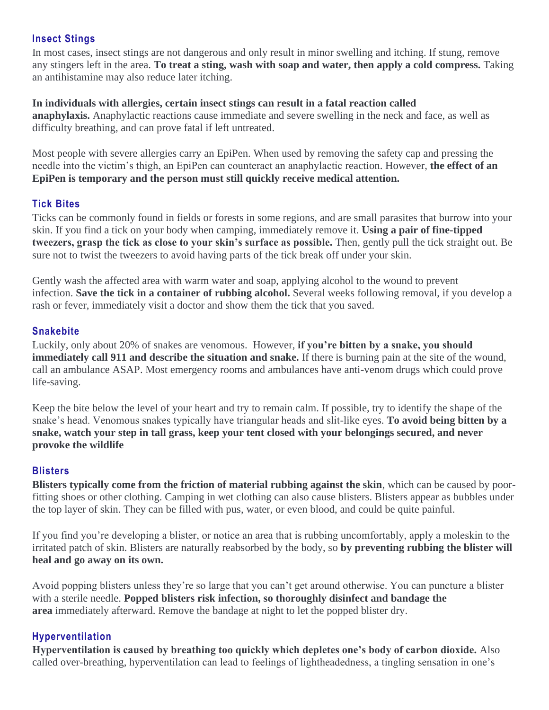# **Insect Stings**

In most cases, insect stings are not dangerous and only result in minor swelling and itching. If stung, remove any stingers left in the area. **To treat a sting, wash with soap and water, then apply a cold compress.** Taking an antihistamine may also reduce later itching.

#### **In individuals with allergies, certain insect stings can result in a fatal reaction called**

**anaphylaxis.** Anaphylactic reactions cause immediate and severe swelling in the neck and face, as well as difficulty breathing, and can prove fatal if left untreated.

Most people with severe allergies carry an EpiPen. When used by removing the safety cap and pressing the needle into the victim's thigh, an EpiPen can counteract an anaphylactic reaction. However, **the effect of an EpiPen is temporary and the person must still quickly receive medical attention.**

# **Tick Bites**

Ticks can be commonly found in fields or forests in some regions, and are small parasites that burrow into your skin. If you find a tick on your body when camping, immediately remove it. **Using a pair of fine-tipped tweezers, grasp the tick as close to your skin's surface as possible.** Then, gently pull the tick straight out. Be sure not to twist the tweezers to avoid having parts of the tick break off under your skin.

Gently wash the affected area with warm water and soap, applying alcohol to the wound to prevent infection. **Save the tick in a container of rubbing alcohol.** Several weeks following removal, if you develop a rash or fever, immediately visit a doctor and show them the tick that you saved.

# **Snakebite**

Luckily, only about 20% of snakes are venomous. However, **if you're bitten by a snake, you should immediately call 911 and describe the situation and snake.** If there is burning pain at the site of the wound, call an ambulance ASAP. Most emergency rooms and ambulances have anti-venom drugs which could prove life-saving.

Keep the bite below the level of your heart and try to remain calm. If possible, try to identify the shape of the snake's head. Venomous snakes typically have triangular heads and slit-like eyes. **To avoid being bitten by a snake, watch your step in tall grass, keep your tent closed with your belongings secured, and never provoke the wildlife**

# **Blisters**

**Blisters typically come from the friction of material rubbing against the skin**, which can be caused by poorfitting shoes or other clothing. Camping in wet clothing can also cause blisters. Blisters appear as bubbles under the top layer of skin. They can be filled with pus, water, or even blood, and could be quite painful.

If you find you're developing a blister, or notice an area that is rubbing uncomfortably, apply a moleskin to the irritated patch of skin. Blisters are naturally reabsorbed by the body, so **by preventing rubbing the blister will heal and go away on its own.**

Avoid popping blisters unless they're so large that you can't get around otherwise. You can puncture a blister with a sterile needle. **Popped blisters risk infection, so thoroughly disinfect and bandage the area** immediately afterward. Remove the bandage at night to let the popped blister dry.

# **Hyperventilation**

**Hyperventilation is caused by breathing too quickly which depletes one's body of carbon dioxide.** Also called over-breathing, hyperventilation can lead to feelings of lightheadedness, a tingling sensation in one's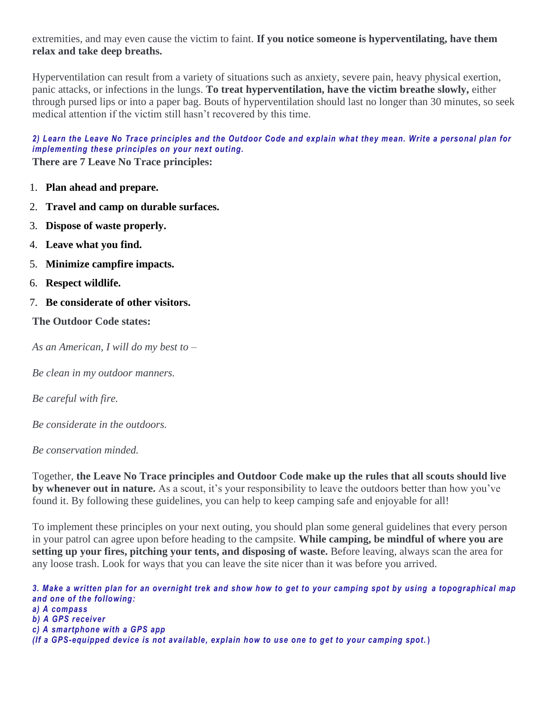extremities, and may even cause the victim to faint. **If you notice someone is hyperventilating, have them relax and take deep breaths.**

Hyperventilation can result from a variety of situations such as anxiety, severe pain, heavy physical exertion, panic attacks, or infections in the lungs. **To treat hyperventilation, have the victim breathe slowly,** either through pursed lips or into a paper bag. Bouts of hyperventilation should last no longer than 30 minutes, so seek medical attention if the victim still hasn't recovered by this time.

*2) Learn the Leave No Trace principles and the Outdoor Code and explain what they mean. Write a personal plan for implementing these principles on your next outing.* **There are 7 Leave No Trace principles:**

- 1. **Plan ahead and prepare.**
- 2. **Travel and camp on durable surfaces.**
- 3. **Dispose of waste properly.**
- 4. **Leave what you find.**
- 5. **Minimize campfire impacts.**
- 6. **Respect wildlife.**
- 7. **Be considerate of other visitors.**

**The Outdoor Code states:**

*As an American, I will do my best to –*

*Be clean in my outdoor manners.*

*Be careful with fire.*

*Be considerate in the outdoors.*

*Be conservation minded.*

Together, **the Leave No Trace principles and Outdoor Code make up the rules that all scouts should live by whenever out in nature.** As a scout, it's your responsibility to leave the outdoors better than how you've found it. By following these guidelines, you can help to keep camping safe and enjoyable for all!

To implement these principles on your next outing, you should plan some general guidelines that every person in your patrol can agree upon before heading to the campsite. **While camping, be mindful of where you are setting up your fires, pitching your tents, and disposing of waste.** Before leaving, always scan the area for any loose trash. Look for ways that you can leave the site nicer than it was before you arrived.

*3. Make a written plan for an overnight trek and show how to get to your camping spot by using a topographical map and one of the following: a) A compass b) A GPS receiver c) A smartphone with a GPS app (If a GPS-equipped device is not available, explain how to use one to get to your camping spot.* **)**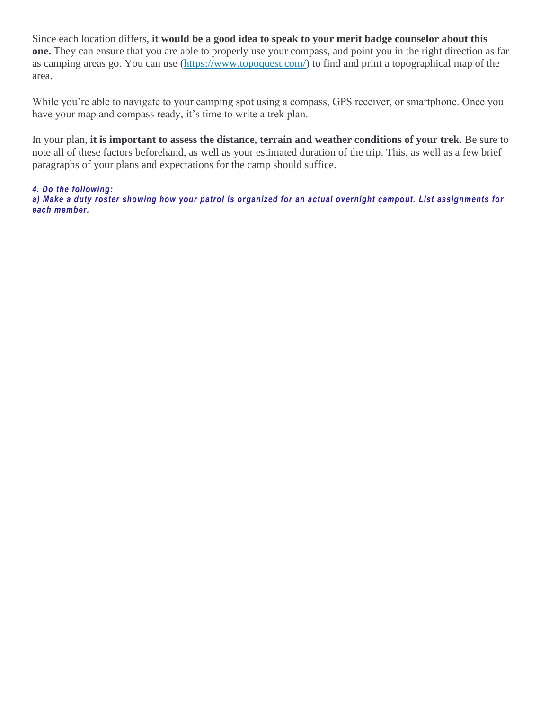Since each location differs, **it would be a good idea to speak to your merit badge counselor about this one.** They can ensure that you are able to properly use your compass, and point you in the right direction as far as camping areas go. You can use [\(https://www.topoquest.com/\)](https://www.topoquest.com/) to find and print a topographical map of the area.

While you're able to navigate to your camping spot using a compass, GPS receiver, or smartphone. Once you have your map and compass ready, it's time to write a trek plan.

In your plan, **it is important to assess the distance, terrain and weather conditions of your trek.** Be sure to note all of these factors beforehand, as well as your estimated duration of the trip. This, as well as a few brief paragraphs of your plans and expectations for the camp should suffice.

#### *4. Do the following:*

*a) Make a duty roster showing how your patrol is organized for an actual overnight campout. List assignments for each member.*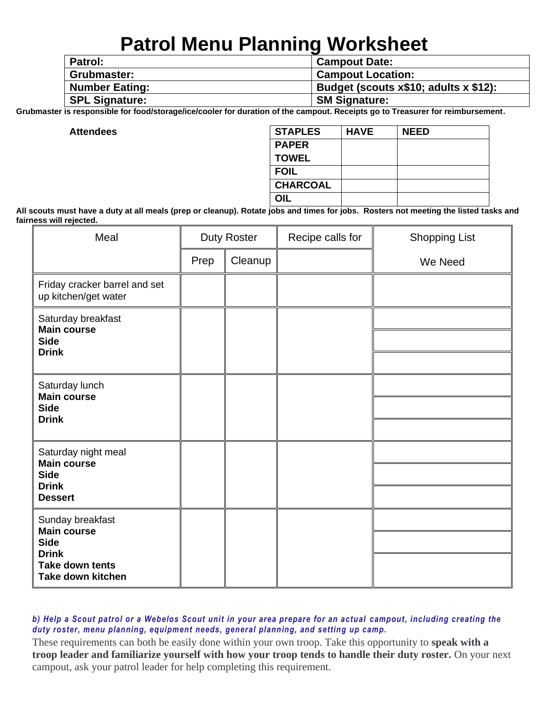# **Patrol Menu Planning Worksheet**

| <b>Patrol:</b>        | <b>Campout Date:</b>                  |
|-----------------------|---------------------------------------|
| Grubmaster:           | <b>Campout Location:</b>              |
| <b>Number Eating:</b> | Budget (scouts x\$10; adults x \$12): |
| <b>SPL Signature:</b> | <b>SM Signature:</b>                  |

**Grubmaster is responsible for food/storage/ice/cooler for duration of the campout. Receipts go to Treasurer for reimbursement.**

 $$ 

| <b>STAPLES</b>  | <b>HAVE</b> | <b>NEED</b> |
|-----------------|-------------|-------------|
| <b>PAPER</b>    |             |             |
| <b>TOWEL</b>    |             |             |
| <b>FOIL</b>     |             |             |
| <b>CHARCOAL</b> |             |             |
| OIL             |             |             |

**All scouts must have a duty at all meals (prep or cleanup). Rotate jobs and times for jobs. Rosters not meeting the listed tasks and fairness will rejected.**

| Meal                                                                    | <b>Duty Roster</b> |         | Recipe calls for | <b>Shopping List</b> |
|-------------------------------------------------------------------------|--------------------|---------|------------------|----------------------|
|                                                                         | Prep               | Cleanup |                  | We Need              |
| Friday cracker barrel and set<br>up kitchen/get water                   |                    |         |                  |                      |
| Saturday breakfast<br><b>Main course</b><br><b>Side</b><br><b>Drink</b> |                    |         |                  |                      |
|                                                                         |                    |         |                  |                      |
| Saturday lunch<br><b>Main course</b><br><b>Side</b><br><b>Drink</b>     |                    |         |                  |                      |
|                                                                         |                    |         |                  |                      |
| Saturday night meal<br><b>Main course</b>                               |                    |         |                  |                      |
| <b>Side</b><br><b>Drink</b>                                             |                    |         |                  |                      |
| <b>Dessert</b>                                                          |                    |         |                  |                      |
| Sunday breakfast                                                        |                    |         |                  |                      |
| <b>Main course</b><br><b>Side</b>                                       |                    |         |                  |                      |
| <b>Drink</b><br><b>Take down tents</b><br><b>Take down kitchen</b>      |                    |         |                  |                      |

#### *b) Help a Scout patrol or a Webelos Scout unit in your area prepare for an actual campout, including creating the duty roster, menu planning, equipment needs, general planning, and setting up camp.*

These requirements can both be easily done within your own troop. Take this opportunity to **speak with a troop leader and familiarize yourself with how your troop tends to handle their duty roster.** On your next campout, ask your patrol leader for help completing this requirement.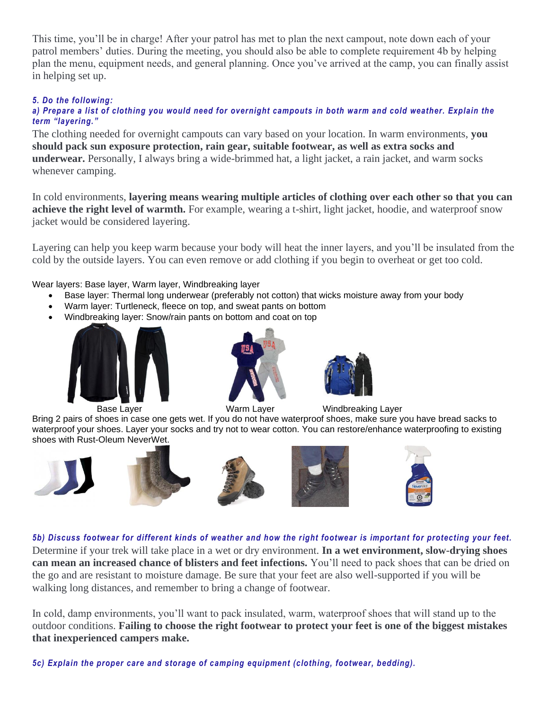This time, you'll be in charge! After your patrol has met to plan the next campout, note down each of your patrol members' duties. During the meeting, you should also be able to complete requirement 4b by helping plan the menu, equipment needs, and general planning. Once you've arrived at the camp, you can finally assist in helping set up.

#### *5. Do the following:*

#### *a) Prepare a list of clothing you would need for overnight campouts in both warm and cold weather. Explain the term "layering."*

The clothing needed for overnight campouts can vary based on your location. In warm environments, **you should pack sun exposure protection, rain gear, suitable footwear, as well as extra socks and underwear.** Personally, I always bring a wide-brimmed hat, a light jacket, a rain jacket, and warm socks whenever camping.

In cold environments, **layering means wearing multiple articles of clothing over each other so that you can achieve the right level of warmth.** For example, wearing a t-shirt, light jacket, hoodie, and waterproof snow jacket would be considered layering.

Layering can help you keep warm because your body will heat the inner layers, and you'll be insulated from the cold by the outside layers. You can even remove or add clothing if you begin to overheat or get too cold.

#### Wear layers: Base layer, Warm layer, Windbreaking layer

- Base layer: Thermal long underwear (preferably not cotton) that wicks moisture away from your body
- Warm layer: Turtleneck, fleece on top, and sweat pants on bottom
- Windbreaking layer: Snow/rain pants on bottom and coat on top







Base Layer **Narm Layer** Warm Layer Mindbreaking Layer

Bring 2 pairs of shoes in case one gets wet. If you do not have waterproof shoes, make sure you have bread sacks to waterproof your shoes. Layer your socks and try not to wear cotton. You can restore/enhance waterproofing to existing shoes with Rust-Oleum NeverWet.



#### *5b) Discuss footwear for different kinds of weather and how the right footwear is important for protecting your feet.*

Determine if your trek will take place in a wet or dry environment. **In a wet environment, slow-drying shoes can mean an increased chance of blisters and feet infections.** You'll need to pack shoes that can be dried on the go and are resistant to moisture damage. Be sure that your feet are also well-supported if you will be walking long distances, and remember to bring a change of footwear.

In cold, damp environments, you'll want to pack insulated, warm, waterproof shoes that will stand up to the outdoor conditions. **Failing to choose the right footwear to protect your feet is one of the biggest mistakes that inexperienced campers make.**

*5c) Explain the proper care and storage of camping equipment (clothing, footwear, bedding).*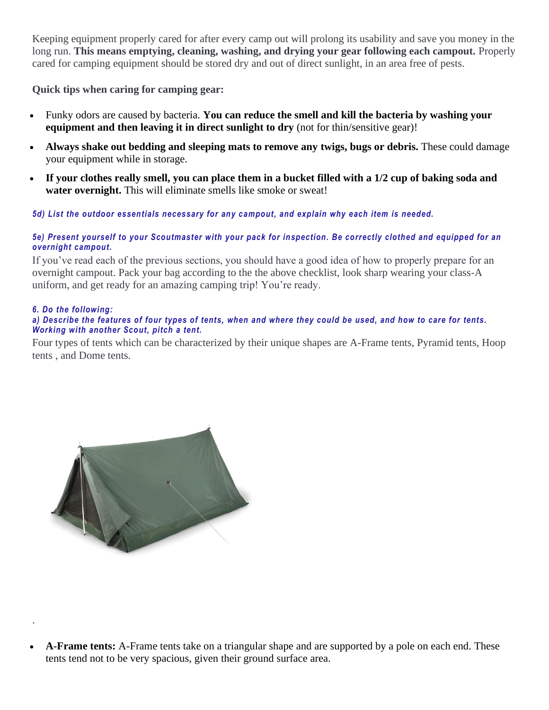Keeping equipment properly cared for after every camp out will prolong its usability and save you money in the long run. **This means emptying, cleaning, washing, and drying your gear following each campout.** Properly cared for camping equipment should be stored dry and out of direct sunlight, in an area free of pests.

**Quick tips when caring for camping gear:**

- Funky odors are caused by bacteria. **You can reduce the smell and kill the bacteria by washing your equipment and then leaving it in direct sunlight to dry** (not for thin/sensitive gear)!
- **Always shake out bedding and sleeping mats to remove any twigs, bugs or debris.** These could damage your equipment while in storage.
- **If your clothes really smell, you can place them in a bucket filled with a 1/2 cup of baking soda and water overnight.** This will eliminate smells like smoke or sweat!

# *5d) List the outdoor essentials necessary for any campout, and explain why each item is needed.*

#### *5e) Present yourself to your Scoutmaster with your pack for inspection. Be correctly clothed and equipped for an overnight campout.*

If you've read each of the previous sections, you should have a good idea of how to properly prepare for an overnight campout. Pack your bag according to the the above checklist, look sharp wearing your class-A uniform, and get ready for an amazing camping trip! You're ready.

#### *6. Do the following:*

.

#### *a) Describe the features of four types of tents, when and where they could be used, and how to care for tents. Working with another Scout, pitch a tent.*

Four types of tents which can be characterized by their unique shapes are A-Frame tents, Pyramid tents, Hoop tents , and Dome tents.



• **A-Frame tents:** A-Frame tents take on a triangular shape and are supported by a pole on each end. These tents tend not to be very spacious, given their ground surface area.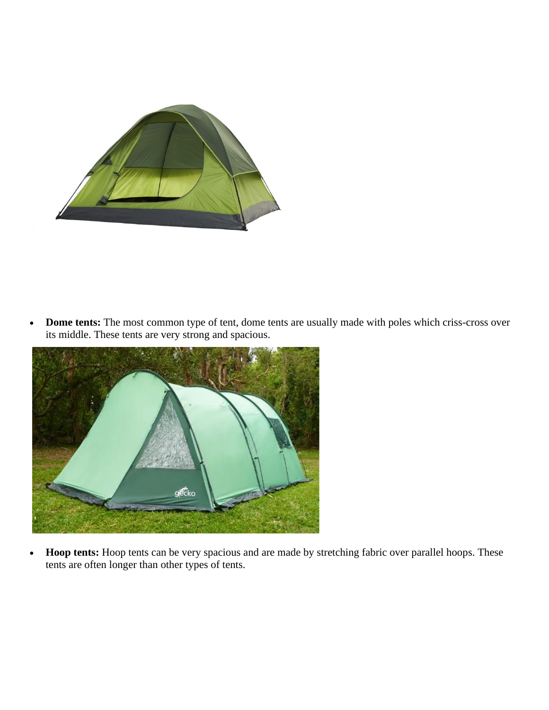

• **Dome tents:** The most common type of tent, dome tents are usually made with poles which criss-cross over its middle. These tents are very strong and spacious.



• **Hoop tents:** Hoop tents can be very spacious and are made by stretching fabric over parallel hoops. These tents are often longer than other types of tents.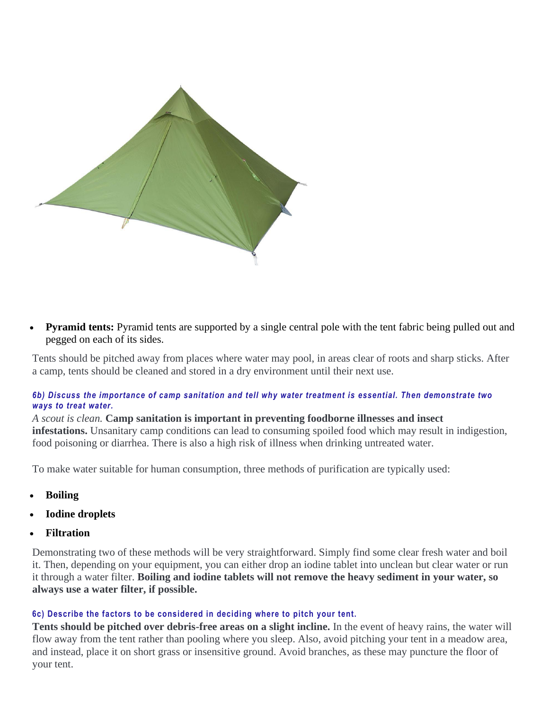

**Pyramid tents:** Pyramid tents are supported by a single central pole with the tent fabric being pulled out and pegged on each of its sides.

Tents should be pitched away from places where water may pool, in areas clear of roots and sharp sticks. After a camp, tents should be cleaned and stored in a dry environment until their next use.

#### *6b) Discuss the importance of camp sanitation and tell why water treatment is essential. Then demonstrate two ways to treat water.*

*A scout is clean.* **Camp sanitation is important in preventing foodborne illnesses and insect infestations.** Unsanitary camp conditions can lead to consuming spoiled food which may result in indigestion, food poisoning or diarrhea. There is also a high risk of illness when drinking untreated water.

To make water suitable for human consumption, three methods of purification are typically used:

- **Boiling**
- **Iodine droplets**
- **Filtration**

Demonstrating two of these methods will be very straightforward. Simply find some clear fresh water and boil it. Then, depending on your equipment, you can either drop an iodine tablet into unclean but clear water or run it through a water filter. **Boiling and iodine tablets will not remove the heavy sediment in your water, so always use a water filter, if possible.**

#### **6c) Describe the factors to be considered in deciding where to pitch your tent.**

**Tents should be pitched over debris-free areas on a slight incline.** In the event of heavy rains, the water will flow away from the tent rather than pooling where you sleep. Also, avoid pitching your tent in a meadow area, and instead, place it on short grass or insensitive ground. Avoid branches, as these may puncture the floor of your tent.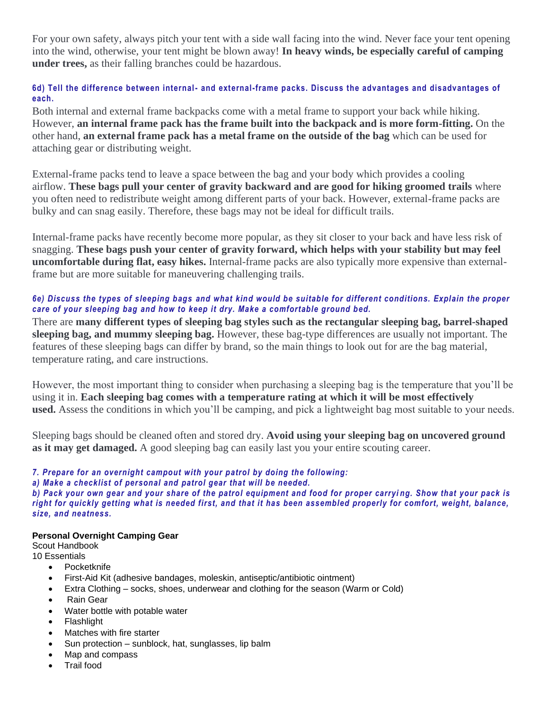For your own safety, always pitch your tent with a side wall facing into the wind. Never face your tent opening into the wind, otherwise, your tent might be blown away! **In heavy winds, be especially careful of camping under trees,** as their falling branches could be hazardous.

#### **6d) Tell the difference between internal- and external-frame packs. Discuss the advantages and disadvantages of each.**

Both internal and external frame backpacks come with a metal frame to support your back while hiking. However, **an internal frame pack has the frame built into the backpack and is more form-fitting.** On the other hand, **an external frame pack has a metal frame on the outside of the bag** which can be used for attaching gear or distributing weight.

External-frame packs tend to leave a space between the bag and your body which provides a cooling airflow. **These bags pull your center of gravity backward and are good for hiking groomed trails** where you often need to redistribute weight among different parts of your back. However, external-frame packs are bulky and can snag easily. Therefore, these bags may not be ideal for difficult trails.

Internal-frame packs have recently become more popular, as they sit closer to your back and have less risk of snagging. **These bags push your center of gravity forward, which helps with your stability but may feel uncomfortable during flat, easy hikes.** Internal-frame packs are also typically more expensive than externalframe but are more suitable for maneuvering challenging trails.

#### *6e) Discuss the types of sleeping bags and what kind would be suitable for different conditions. Explain the proper care of your sleeping bag and how to keep it dry. Make a comfortable ground bed.*

There are **many different types of sleeping bag styles such as the rectangular sleeping bag, barrel-shaped sleeping bag, and mummy sleeping bag.** However, these bag-type differences are usually not important. The features of these sleeping bags can differ by brand, so the main things to look out for are the bag material, temperature rating, and care instructions.

However, the most important thing to consider when purchasing a sleeping bag is the temperature that you'll be using it in. **Each sleeping bag comes with a temperature rating at which it will be most effectively used.** Assess the conditions in which you'll be camping, and pick a lightweight bag most suitable to your needs.

Sleeping bags should be cleaned often and stored dry. **Avoid using your sleeping bag on uncovered ground as it may get damaged.** A good sleeping bag can easily last you your entire scouting career.

#### *7. Prepare for an overnight campout with your patrol by doing the following:*

*a) Make a checklist of personal and patrol gear that will be needed.*

*b) Pack your own gear and your share of the patrol equipment and food for proper carryi ng. Show that your pack is right for quickly getting what is needed first, and that it has been assembled properly for comfort, weight, balance, size, and neatness.*

#### **Personal Overnight Camping Gear**

Scout Handbook 10 Essentials

- Pocketknife
- First-Aid Kit (adhesive bandages, moleskin, antiseptic/antibiotic ointment)
- Extra Clothing socks, shoes, underwear and clothing for the season (Warm or Cold)
- Rain Gear
- Water bottle with potable water
- Flashlight
- Matches with fire starter
- Sun protection sunblock, hat, sunglasses, lip balm
- Map and compass
- Trail food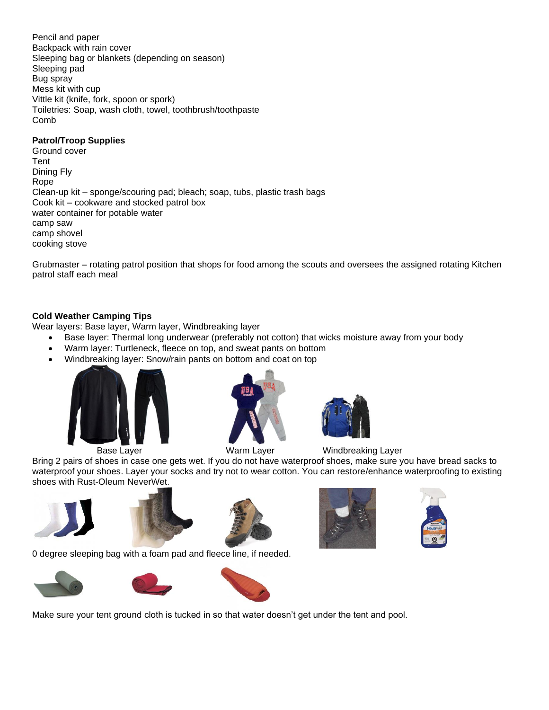Pencil and paper Backpack with rain cover Sleeping bag or blankets (depending on season) Sleeping pad Bug spray Mess kit with cup Vittle kit (knife, fork, spoon or spork) Toiletries: Soap, wash cloth, towel, toothbrush/toothpaste Comb

#### **Patrol/Troop Supplies**

Ground cover Tent Dining Fly Rope Clean-up kit – sponge/scouring pad; bleach; soap, tubs, plastic trash bags Cook kit – cookware and stocked patrol box water container for potable water camp saw camp shovel cooking stove

Grubmaster – rotating patrol position that shops for food among the scouts and oversees the assigned rotating Kitchen patrol staff each meal

#### **Cold Weather Camping Tips**

Wear layers: Base layer, Warm layer, Windbreaking layer

- Base layer: Thermal long underwear (preferably not cotton) that wicks moisture away from your body
- Warm layer: Turtleneck, fleece on top, and sweat pants on bottom
- Windbreaking layer: Snow/rain pants on bottom and coat on top







Base Layer **Marm Layer** Warm Layer Mindbreaking Layer

Bring 2 pairs of shoes in case one gets wet. If you do not have waterproof shoes, make sure you have bread sacks to waterproof your shoes. Layer your socks and try not to wear cotton. You can restore/enhance waterproofing to existing shoes with Rust-Oleum NeverWet.











0 degree sleeping bag with a foam pad and fleece line, if needed.



Make sure your tent ground cloth is tucked in so that water doesn't get under the tent and pool.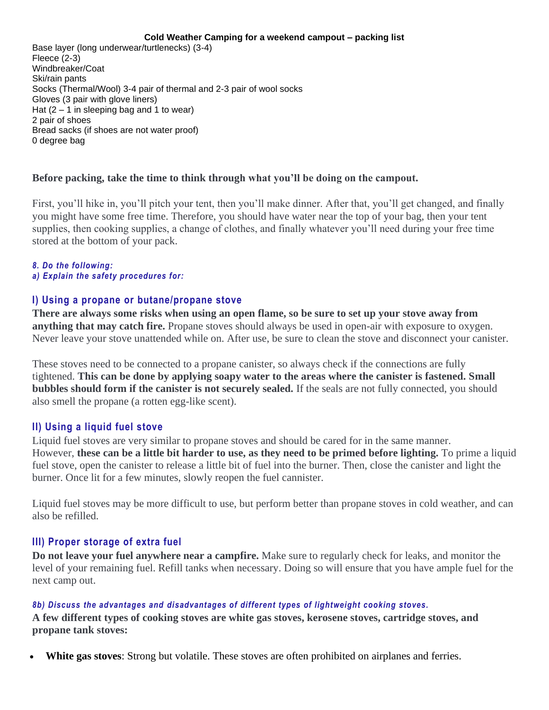#### **Cold Weather Camping for a weekend campout – packing list**

Base layer (long underwear/turtlenecks) (3-4) Fleece (2-3) Windbreaker/Coat Ski/rain pants Socks (Thermal/Wool) 3-4 pair of thermal and 2-3 pair of wool socks Gloves (3 pair with glove liners) Hat  $(2 - 1)$  in sleeping bag and 1 to wear) 2 pair of shoes Bread sacks (if shoes are not water proof) 0 degree bag

#### **Before packing, take the time to think through what you'll be doing on the campout.**

First, you'll hike in, you'll pitch your tent, then you'll make dinner. After that, you'll get changed, and finally you might have some free time. Therefore, you should have water near the top of your bag, then your tent supplies, then cooking supplies, a change of clothes, and finally whatever you'll need during your free time stored at the bottom of your pack.

#### *8. Do the following:*

*a) Explain the safety procedures for:*

# **I) Using a propane or butane/propane stove**

**There are always some risks when using an open flame, so be sure to set up your stove away from anything that may catch fire.** Propane stoves should always be used in open-air with exposure to oxygen. Never leave your stove unattended while on. After use, be sure to clean the stove and disconnect your canister.

These stoves need to be connected to a propane canister, so always check if the connections are fully tightened. **This can be done by applying soapy water to the areas where the canister is fastened. Small bubbles should form if the canister is not securely sealed.** If the seals are not fully connected, you should also smell the propane (a rotten egg-like scent).

# **II) Using a liquid fuel stove**

Liquid fuel stoves are very similar to propane stoves and should be cared for in the same manner. However, **these can be a little bit harder to use, as they need to be primed before lighting.** To prime a liquid fuel stove, open the canister to release a little bit of fuel into the burner. Then, close the canister and light the burner. Once lit for a few minutes, slowly reopen the fuel cannister.

Liquid fuel stoves may be more difficult to use, but perform better than propane stoves in cold weather, and can also be refilled.

# **III) Proper storage of extra fuel**

**Do not leave your fuel anywhere near a campfire.** Make sure to regularly check for leaks, and monitor the level of your remaining fuel. Refill tanks when necessary. Doing so will ensure that you have ample fuel for the next camp out.

#### *8b) Discuss the advantages and disadvantages of different types of lightweight cooking stoves.*

**A few different types of cooking stoves are white gas stoves, kerosene stoves, cartridge stoves, and propane tank stoves:**

• **White gas stoves**: Strong but volatile. These stoves are often prohibited on airplanes and ferries.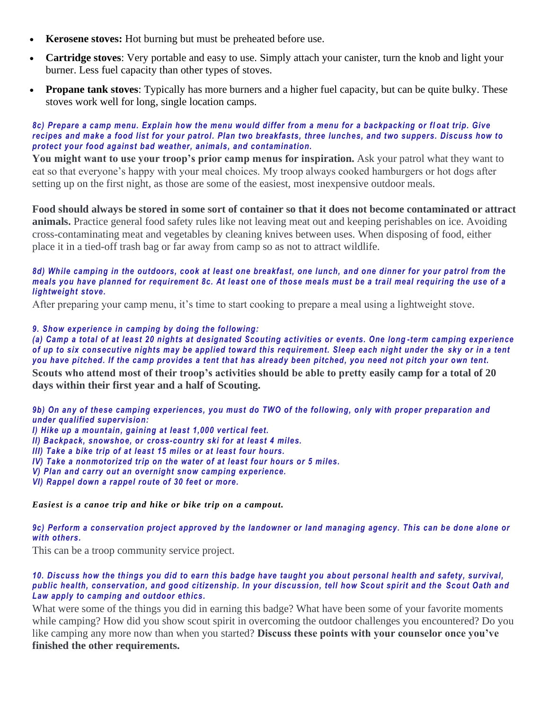- **Kerosene stoves:** Hot burning but must be preheated before use.
- **Cartridge stoves**: Very portable and easy to use. Simply attach your canister, turn the knob and light your burner. Less fuel capacity than other types of stoves.
- **Propane tank stoves**: Typically has more burners and a higher fuel capacity, but can be quite bulky. These stoves work well for long, single location camps.

#### *8c) Prepare a camp menu. Explain how the menu would differ from a menu for a backpacking or fl oat trip. Give recipes and make a food list for your patrol. Plan two breakfasts, three lunches, and two suppers. Discuss how to protect your food against bad weather, animals, and contamination.*

**You might want to use your troop's prior camp menus for inspiration.** Ask your patrol what they want to eat so that everyone's happy with your meal choices. My troop always cooked hamburgers or hot dogs after setting up on the first night, as those are some of the easiest, most inexpensive outdoor meals.

**Food should always be stored in some sort of container so that it does not become contaminated or attract animals.** Practice general food safety rules like not leaving meat out and keeping perishables on ice. Avoiding cross-contaminating meat and vegetables by cleaning knives between uses. When disposing of food, either place it in a tied-off trash bag or far away from camp so as not to attract wildlife.

#### *8d) While camping in the outdoors, cook at least one breakfast, one lunch, and one dinner for your patrol from the meals you have planned for requirement 8c. At least one of those meals must be a trail meal requiring the use of a lightweight stove.*

After preparing your camp menu, it's time to start cooking to prepare a meal using a lightweight stove.

#### *9. Show experience in camping by doing the following:*

*(a) Camp a total of at least 20 nights at designated Scouting activities or events. One long -term camping experience of up to six consecutive nights may be applied toward this requirement. Sleep each night under the sky or in a tent you have pitched. If the camp provides a tent that has already been pitched, you need not pitch your own tent.*

**Scouts who attend most of their troop's activities should be able to pretty easily camp for a total of 20 days within their first year and a half of Scouting.**

*9b) On any of these camping experiences, you must do TWO of the following, only with proper preparation and under qualified supervision:*

*I) Hike up a mountain, gaining at least 1,000 vertical feet.*

*II) Backpack, snowshoe, or cross-country ski for at least 4 miles.*

*III) Take a bike trip of at least 15 miles or at least four hours.*

*IV) Take a nonmotorized trip on the water of at least four hours or 5 miles.*

*V) Plan and carry out an overnight snow camping experience.*

*VI) Rappel down a rappel route of 30 feet or more.*

#### *Easiest is a canoe trip and hike or bike trip on a campout.*

*9c) Perform a conservation project approved by the landowner or land managing agency. This can be done alone or with others.*

This can be a troop community service project.

#### *10. Discuss how the things you did to earn this badge have taught you about personal health and safety, survival, public health, conservation, and good citizenship. In your discussion, tell how Scout spirit and the Scout Oath and Law apply to camping and outdoor ethics.*

What were some of the things you did in earning this badge? What have been some of your favorite moments while camping? How did you show scout spirit in overcoming the outdoor challenges you encountered? Do you like camping any more now than when you started? **Discuss these points with your counselor once you've finished the other requirements.**